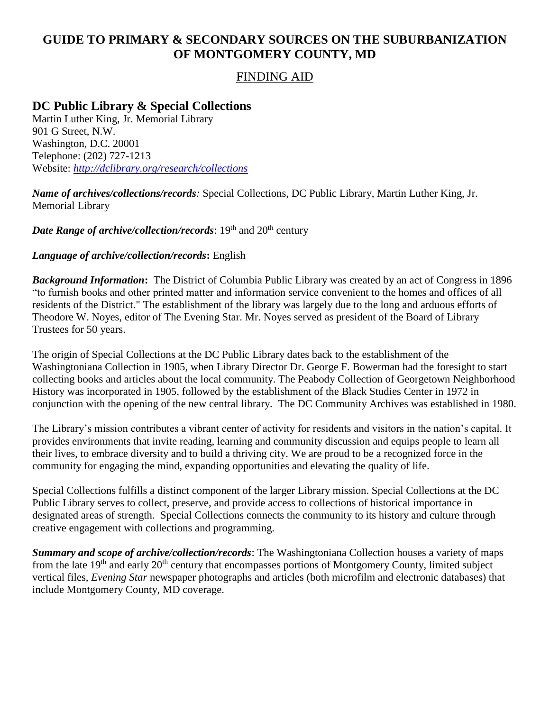# **GUIDE TO PRIMARY & SECONDARY SOURCES ON THE SUBURBANIZATION OF MONTGOMERY COUNTY, MD**

### FINDING AID

# **DC Public Library & Special Collections**

Martin Luther King, Jr. Memorial Library 901 G Street, N.W. Washington, D.C. 20001 Telephone: (202) 727-1213 Website: *<http://dclibrary.org/research/collections>*

*Name of archives/collections/records:* Special Collections, DC Public Library, Martin Luther King, Jr. Memorial Library

*Date Range of archive/collection/records*: 19<sup>th</sup> and 20<sup>th</sup> century

#### *Language of archive/collection/records***:** English

*Background Information***:** The District of Columbia Public Library was created by an act of Congress in 1896 "to furnish books and other printed matter and information service convenient to the homes and offices of all residents of the District." The establishment of the library was largely due to the long and arduous efforts of Theodore W. Noyes, editor of The Evening Star. Mr. Noyes served as president of the Board of Library Trustees for 50 years.

The origin of Special Collections at the DC Public Library dates back to the establishment of the Washingtoniana Collection in 1905, when Library Director Dr. George F. Bowerman had the foresight to start collecting books and articles about the local community. The Peabody Collection of Georgetown Neighborhood History was incorporated in 1905, followed by the establishment of the Black Studies Center in 1972 in conjunction with the opening of the new central library. The DC Community Archives was established in 1980.

The Library's mission contributes a vibrant center of activity for residents and visitors in the nation's capital. It provides environments that invite reading, learning and community discussion and equips people to learn all their lives, to embrace diversity and to build a thriving city. We are proud to be a recognized force in the community for engaging the mind, expanding opportunities and elevating the quality of life.

Special Collections fulfills a distinct component of the larger Library mission. Special Collections at the DC Public Library serves to collect, preserve, and provide access to collections of historical importance in designated areas of strength. Special Collections connects the community to its history and culture through creative engagement with collections and programming.

*Summary and scope of archive/collection/records*: The Washingtoniana Collection houses a variety of maps from the late 19<sup>th</sup> and early 20<sup>th</sup> century that encompasses portions of Montgomery County, limited subject vertical files, *Evening Star* newspaper photographs and articles (both microfilm and electronic databases) that include Montgomery County, MD coverage.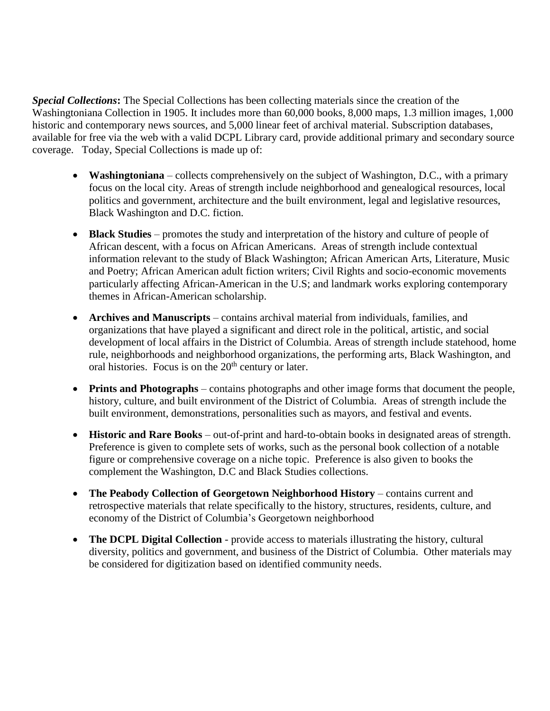*Special Collections***:** The Special Collections has been collecting materials since the creation of the Washingtoniana Collection in 1905. It includes more than 60,000 books, 8,000 maps, 1.3 million images, 1,000 historic and contemporary news sources, and 5,000 linear feet of archival material. Subscription databases, available for free via the web with a valid DCPL Library card, provide additional primary and secondary source coverage. Today, Special Collections is made up of:

- **Washingtoniana** collects comprehensively on the subject of Washington, D.C., with a primary focus on the local city. Areas of strength include neighborhood and genealogical resources, local politics and government, architecture and the built environment, legal and legislative resources, Black Washington and D.C. fiction.
- **Black Studies** promotes the study and interpretation of the history and culture of people of African descent, with a focus on African Americans. Areas of strength include contextual information relevant to the study of Black Washington; African American Arts, Literature, Music and Poetry; African American adult fiction writers; Civil Rights and socio-economic movements particularly affecting African-American in the U.S; and landmark works exploring contemporary themes in African-American scholarship.
- **Archives and Manuscripts** contains archival material from individuals, families, and organizations that have played a significant and direct role in the political, artistic, and social development of local affairs in the District of Columbia. Areas of strength include statehood, home rule, neighborhoods and neighborhood organizations, the performing arts, Black Washington, and oral histories. Focus is on the  $20<sup>th</sup>$  century or later.
- **Prints and Photographs** contains photographs and other image forms that document the people, history, culture, and built environment of the District of Columbia. Areas of strength include the built environment, demonstrations, personalities such as mayors, and festival and events.
- **Historic and Rare Books** out-of-print and hard-to-obtain books in designated areas of strength. Preference is given to complete sets of works, such as the personal book collection of a notable figure or comprehensive coverage on a niche topic. Preference is also given to books the complement the Washington, D.C and Black Studies collections.
- **The Peabody Collection of Georgetown Neighborhood History** contains current and retrospective materials that relate specifically to the history, structures, residents, culture, and economy of the District of Columbia's Georgetown neighborhood
- **The DCPL Digital Collection** provide access to materials illustrating the history, cultural diversity, politics and government, and business of the District of Columbia. Other materials may be considered for digitization based on identified community needs.